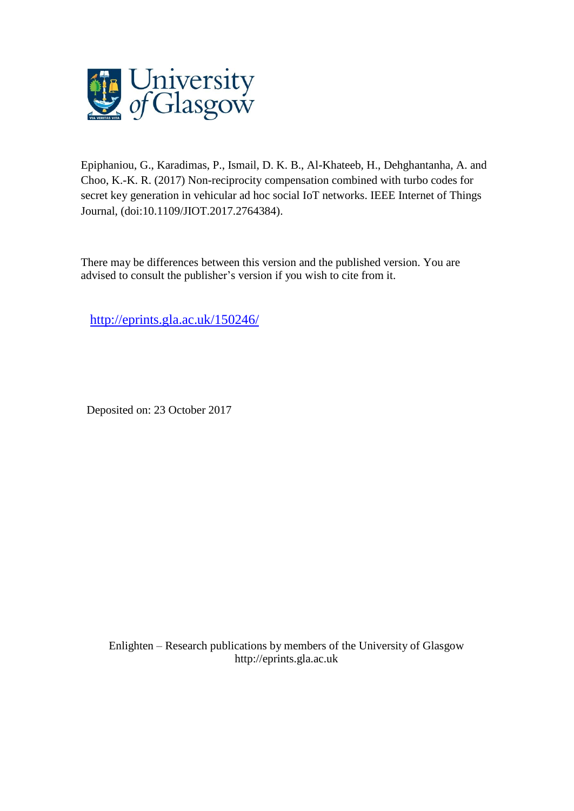

Epiphaniou, G., Karadimas, P., Ismail, D. K. B., Al-Khateeb, H., Dehghantanha, A. and Choo, K.-K. R. (2017) Non-reciprocity compensation combined with turbo codes for secret key generation in vehicular ad hoc social IoT networks. IEEE Internet of Things Journal, (doi:10.1109/JIOT.2017.2764384).

There may be differences between this version and the published version. You are advised to consult the publisher's version if you wish to cite from it.

<http://eprints.gla.ac.uk/150246/>

Deposited on: 23 October 2017

Enlighten – Research publications by members of the University of Glasgo[w](http://eprints.gla.ac.uk/) [http://eprints.gla.ac.uk](http://eprints.gla.ac.uk/)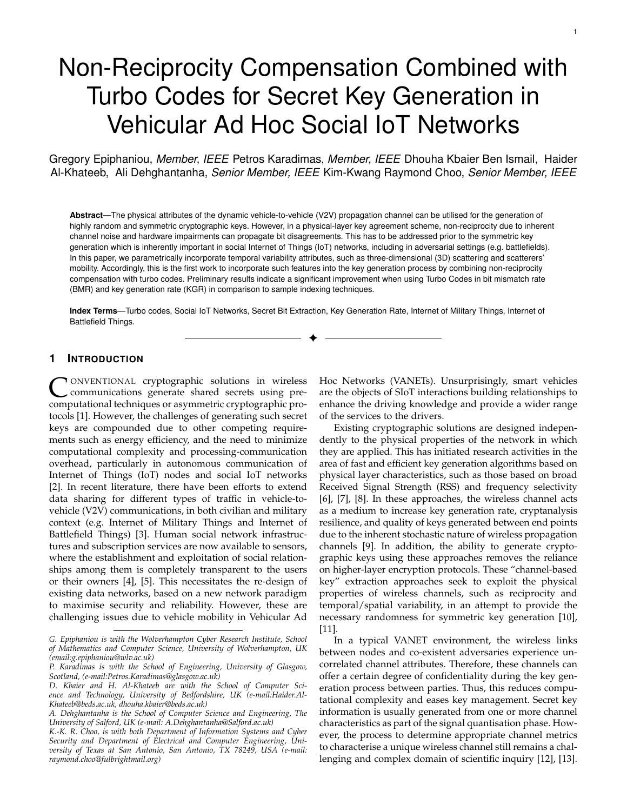# Non-Reciprocity Compensation Combined with Turbo Codes for Secret Key Generation in Vehicular Ad Hoc Social IoT Networks

Gregory Epiphaniou, *Member, IEEE* Petros Karadimas, *Member, IEEE* Dhouha Kbaier Ben Ismail, Haider Al-Khateeb, Ali Dehghantanha, *Senior Member, IEEE* Kim-Kwang Raymond Choo, *Senior Member, IEEE*

**Abstract**—The physical attributes of the dynamic vehicle-to-vehicle (V2V) propagation channel can be utilised for the generation of highly random and symmetric cryptographic keys. However, in a physical-layer key agreement scheme, non-reciprocity due to inherent channel noise and hardware impairments can propagate bit disagreements. This has to be addressed prior to the symmetric key generation which is inherently important in social Internet of Things (IoT) networks, including in adversarial settings (e.g. battlefields). In this paper, we parametrically incorporate temporal variability attributes, such as three-dimensional (3D) scattering and scatterers' mobility. Accordingly, this is the first work to incorporate such features into the key generation process by combining non-reciprocity compensation with turbo codes. Preliminary results indicate a significant improvement when using Turbo Codes in bit mismatch rate (BMR) and key generation rate (KGR) in comparison to sample indexing techniques.

**Index Terms**—Turbo codes, Social IoT Networks, Secret Bit Extraction, Key Generation Rate, Internet of Military Things, Internet of Battlefield Things.

✦

# **1 INTRODUCTION**

CONVENTIONAL cryptographic solutions in wireless<br>communications generate shared secrets using pre-<br>computational techniques or asymmetric cryptographic pro-ONVENTIONAL cryptographic solutions in wireless communications generate shared secrets using pretocols [1]. However, the challenges of generating such secret keys are compounded due to other competing requirements such as energy efficiency, and the need to minimize computational complexity and processing-communication overhead, particularly in autonomous communication of Internet of Things (IoT) nodes and social IoT networks [2]. In recent literature, there have been efforts to extend data sharing for different types of traffic in vehicle-tovehicle (V2V) communications, in both civilian and military context (e.g. Internet of Military Things and Internet of Battlefield Things) [3]. Human social network infrastructures and subscription services are now available to sensors, where the establishment and exploitation of social relationships among them is completely transparent to the users or their owners [4], [5]. This necessitates the re-design of existing data networks, based on a new network paradigm to maximise security and reliability. However, these are challenging issues due to vehicle mobility in Vehicular Ad

Hoc Networks (VANETs). Unsurprisingly, smart vehicles are the objects of SIoT interactions building relationships to enhance the driving knowledge and provide a wider range of the services to the drivers.

Existing cryptographic solutions are designed independently to the physical properties of the network in which they are applied. This has initiated research activities in the area of fast and efficient key generation algorithms based on physical layer characteristics, such as those based on broad Received Signal Strength (RSS) and frequency selectivity [6], [7], [8]. In these approaches, the wireless channel acts as a medium to increase key generation rate, cryptanalysis resilience, and quality of keys generated between end points due to the inherent stochastic nature of wireless propagation channels [9]. In addition, the ability to generate cryptographic keys using these approaches removes the reliance on higher-layer encryption protocols. These "channel-based key" extraction approaches seek to exploit the physical properties of wireless channels, such as reciprocity and temporal/spatial variability, in an attempt to provide the necessary randomness for symmetric key generation [10], [11].

In a typical VANET environment, the wireless links between nodes and co-existent adversaries experience uncorrelated channel attributes. Therefore, these channels can offer a certain degree of confidentiality during the key generation process between parties. Thus, this reduces computational complexity and eases key management. Secret key information is usually generated from one or more channel characteristics as part of the signal quantisation phase. However, the process to determine appropriate channel metrics to characterise a unique wireless channel still remains a challenging and complex domain of scientific inquiry [12], [13].

*G. Epiphaniou is with the Wolverhampton Cyber Research Institute, School of Mathematics and Computer Science, University of Wolverhampton, UK (email:g.epiphaniou@wlv.ac.uk)*

*P. Karadimas is with the School of Engineering, University of Glasgow, Scotland, (e-mail:Petros.Karadimas@glasgow.ac.uk)*

*D. Kbaier and H. Al-Khateeb are with the School of Computer Science and Technology, University of Bedfordshire, UK (e-mail:Haider.Al-Khateeb@beds.ac.uk, dhouha.kbaier@beds.ac.uk)*

*A. Dehghantanha is the School of Computer Science and Engineering, The University of Salford, UK (e-mail: A.Dehghantanha@Salford.ac.uk)*

*K.-K. R. Choo, is with both Department of Information Systems and Cyber Security and Department of Electrical and Computer Engineering, University of Texas at San Antonio, San Antonio, TX 78249, USA (e-mail: raymond.choo@fulbrightmail.org)*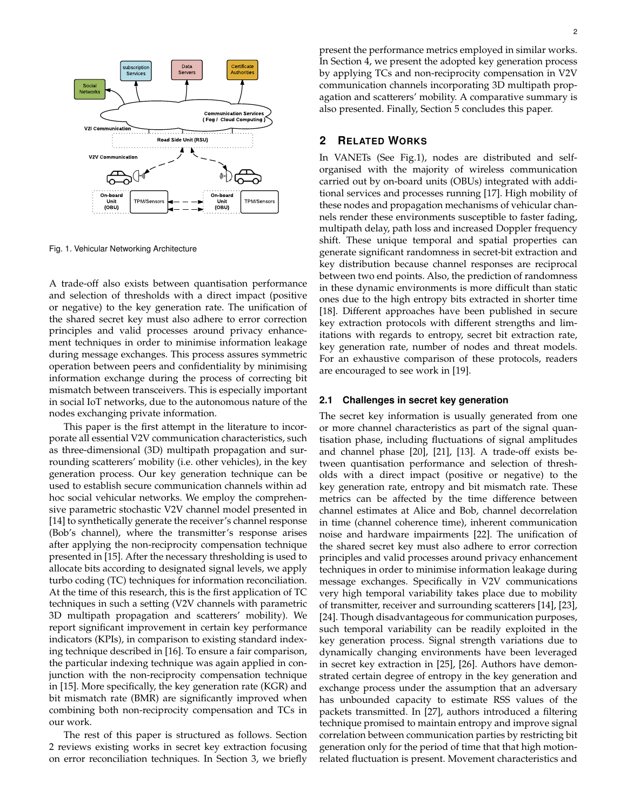

Fig. 1. Vehicular Networking Architecture

A trade-off also exists between quantisation performance and selection of thresholds with a direct impact (positive or negative) to the key generation rate. The unification of the shared secret key must also adhere to error correction principles and valid processes around privacy enhancement techniques in order to minimise information leakage during message exchanges. This process assures symmetric operation between peers and confidentiality by minimising information exchange during the process of correcting bit mismatch between transceivers. This is especially important in social IoT networks, due to the autonomous nature of the nodes exchanging private information.

This paper is the first attempt in the literature to incorporate all essential V2V communication characteristics, such as three-dimensional (3D) multipath propagation and surrounding scatterers' mobility (i.e. other vehicles), in the key generation process. Our key generation technique can be used to establish secure communication channels within ad hoc social vehicular networks. We employ the comprehensive parametric stochastic V2V channel model presented in [14] to synthetically generate the receiver's channel response (Bob's channel), where the transmitter's response arises after applying the non-reciprocity compensation technique presented in [15]. After the necessary thresholding is used to allocate bits according to designated signal levels, we apply turbo coding (TC) techniques for information reconciliation. At the time of this research, this is the first application of TC techniques in such a setting (V2V channels with parametric 3D multipath propagation and scatterers' mobility). We report significant improvement in certain key performance indicators (KPIs), in comparison to existing standard indexing technique described in [16]. To ensure a fair comparison, the particular indexing technique was again applied in conjunction with the non-reciprocity compensation technique in [15]. More specifically, the key generation rate (KGR) and bit mismatch rate (BMR) are significantly improved when combining both non-reciprocity compensation and TCs in our work.

The rest of this paper is structured as follows. Section 2 reviews existing works in secret key extraction focusing on error reconciliation techniques. In Section 3, we briefly

present the performance metrics employed in similar works. In Section 4, we present the adopted key generation process by applying TCs and non-reciprocity compensation in V2V communication channels incorporating 3D multipath propagation and scatterers' mobility. A comparative summary is also presented. Finally, Section 5 concludes this paper.

# **2 RELATED WORKS**

In VANETs (See Fig.1), nodes are distributed and selforganised with the majority of wireless communication carried out by on-board units (OBUs) integrated with additional services and processes running [17]. High mobility of these nodes and propagation mechanisms of vehicular channels render these environments susceptible to faster fading, multipath delay, path loss and increased Doppler frequency shift. These unique temporal and spatial properties can generate significant randomness in secret-bit extraction and key distribution because channel responses are reciprocal between two end points. Also, the prediction of randomness in these dynamic environments is more difficult than static ones due to the high entropy bits extracted in shorter time [18]. Different approaches have been published in secure key extraction protocols with different strengths and limitations with regards to entropy, secret bit extraction rate, key generation rate, number of nodes and threat models. For an exhaustive comparison of these protocols, readers are encouraged to see work in [19].

#### **2.1 Challenges in secret key generation**

The secret key information is usually generated from one or more channel characteristics as part of the signal quantisation phase, including fluctuations of signal amplitudes and channel phase [20], [21], [13]. A trade-off exists between quantisation performance and selection of thresholds with a direct impact (positive or negative) to the key generation rate, entropy and bit mismatch rate. These metrics can be affected by the time difference between channel estimates at Alice and Bob, channel decorrelation in time (channel coherence time), inherent communication noise and hardware impairments [22]. The unification of the shared secret key must also adhere to error correction principles and valid processes around privacy enhancement techniques in order to minimise information leakage during message exchanges. Specifically in V2V communications very high temporal variability takes place due to mobility of transmitter, receiver and surrounding scatterers [14], [23], [24]. Though disadvantageous for communication purposes, such temporal variability can be readily exploited in the key generation process. Signal strength variations due to dynamically changing environments have been leveraged in secret key extraction in [25], [26]. Authors have demonstrated certain degree of entropy in the key generation and exchange process under the assumption that an adversary has unbounded capacity to estimate RSS values of the packets transmitted. In [27], authors introduced a filtering technique promised to maintain entropy and improve signal correlation between communication parties by restricting bit generation only for the period of time that that high motionrelated fluctuation is present. Movement characteristics and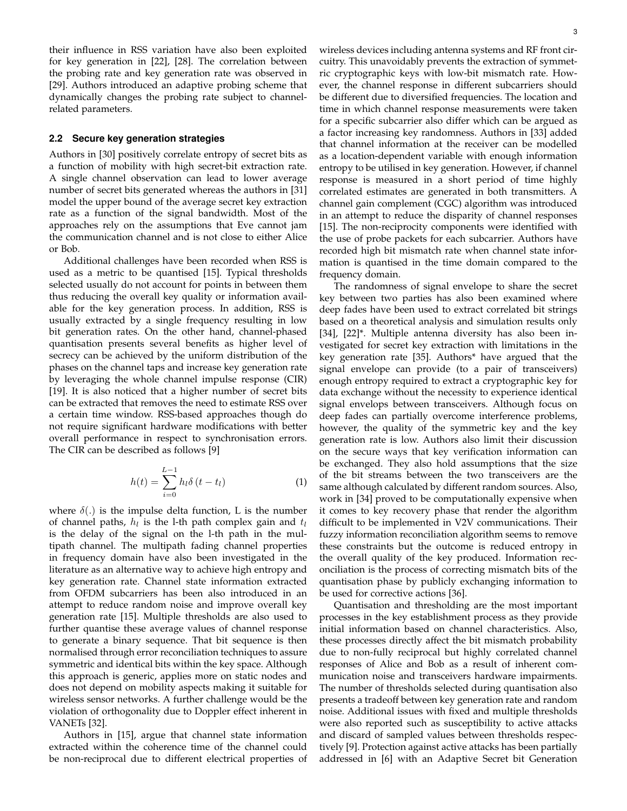their influence in RSS variation have also been exploited for key generation in [22], [28]. The correlation between the probing rate and key generation rate was observed in [29]. Authors introduced an adaptive probing scheme that dynamically changes the probing rate subject to channelrelated parameters.

#### **2.2 Secure key generation strategies**

Authors in [30] positively correlate entropy of secret bits as a function of mobility with high secret-bit extraction rate. A single channel observation can lead to lower average number of secret bits generated whereas the authors in [31] model the upper bound of the average secret key extraction rate as a function of the signal bandwidth. Most of the approaches rely on the assumptions that Eve cannot jam the communication channel and is not close to either Alice or Bob.

Additional challenges have been recorded when RSS is used as a metric to be quantised [15]. Typical thresholds selected usually do not account for points in between them thus reducing the overall key quality or information available for the key generation process. In addition, RSS is usually extracted by a single frequency resulting in low bit generation rates. On the other hand, channel-phased quantisation presents several benefits as higher level of secrecy can be achieved by the uniform distribution of the phases on the channel taps and increase key generation rate by leveraging the whole channel impulse response (CIR) [19]. It is also noticed that a higher number of secret bits can be extracted that removes the need to estimate RSS over a certain time window. RSS-based approaches though do not require significant hardware modifications with better overall performance in respect to synchronisation errors. The CIR can be described as follows [9]

$$
h(t) = \sum_{i=0}^{L-1} h_i \delta(t - t_i)
$$
 (1)

where  $\delta(.)$  is the impulse delta function, L is the number of channel paths,  $h_l$  is the l-th path complex gain and  $t_l$ is the delay of the signal on the l-th path in the multipath channel. The multipath fading channel properties in frequency domain have also been investigated in the literature as an alternative way to achieve high entropy and key generation rate. Channel state information extracted from OFDM subcarriers has been also introduced in an attempt to reduce random noise and improve overall key generation rate [15]. Multiple thresholds are also used to further quantise these average values of channel response to generate a binary sequence. That bit sequence is then normalised through error reconciliation techniques to assure symmetric and identical bits within the key space. Although this approach is generic, applies more on static nodes and does not depend on mobility aspects making it suitable for wireless sensor networks. A further challenge would be the violation of orthogonality due to Doppler effect inherent in VANETs [32].

Authors in [15], argue that channel state information extracted within the coherence time of the channel could be non-reciprocal due to different electrical properties of wireless devices including antenna systems and RF front circuitry. This unavoidably prevents the extraction of symmetric cryptographic keys with low-bit mismatch rate. However, the channel response in different subcarriers should be different due to diversified frequencies. The location and time in which channel response measurements were taken for a specific subcarrier also differ which can be argued as a factor increasing key randomness. Authors in [33] added that channel information at the receiver can be modelled as a location-dependent variable with enough information entropy to be utilised in key generation. However, if channel response is measured in a short period of time highly correlated estimates are generated in both transmitters. A channel gain complement (CGC) algorithm was introduced in an attempt to reduce the disparity of channel responses [15]. The non-reciprocity components were identified with the use of probe packets for each subcarrier. Authors have recorded high bit mismatch rate when channel state information is quantised in the time domain compared to the frequency domain.

The randomness of signal envelope to share the secret key between two parties has also been examined where deep fades have been used to extract correlated bit strings based on a theoretical analysis and simulation results only [34], [22]\*. Multiple antenna diversity has also been investigated for secret key extraction with limitations in the key generation rate [35]. Authors\* have argued that the signal envelope can provide (to a pair of transceivers) enough entropy required to extract a cryptographic key for data exchange without the necessity to experience identical signal envelops between transceivers. Although focus on deep fades can partially overcome interference problems, however, the quality of the symmetric key and the key generation rate is low. Authors also limit their discussion on the secure ways that key verification information can be exchanged. They also hold assumptions that the size of the bit streams between the two transceivers are the same although calculated by different random sources. Also, work in [34] proved to be computationally expensive when it comes to key recovery phase that render the algorithm difficult to be implemented in V2V communications. Their fuzzy information reconciliation algorithm seems to remove these constraints but the outcome is reduced entropy in the overall quality of the key produced. Information reconciliation is the process of correcting mismatch bits of the quantisation phase by publicly exchanging information to be used for corrective actions [36].

Quantisation and thresholding are the most important processes in the key establishment process as they provide initial information based on channel characteristics. Also, these processes directly affect the bit mismatch probability due to non-fully reciprocal but highly correlated channel responses of Alice and Bob as a result of inherent communication noise and transceivers hardware impairments. The number of thresholds selected during quantisation also presents a tradeoff between key generation rate and random noise. Additional issues with fixed and multiple thresholds were also reported such as susceptibility to active attacks and discard of sampled values between thresholds respectively [9]. Protection against active attacks has been partially addressed in [6] with an Adaptive Secret bit Generation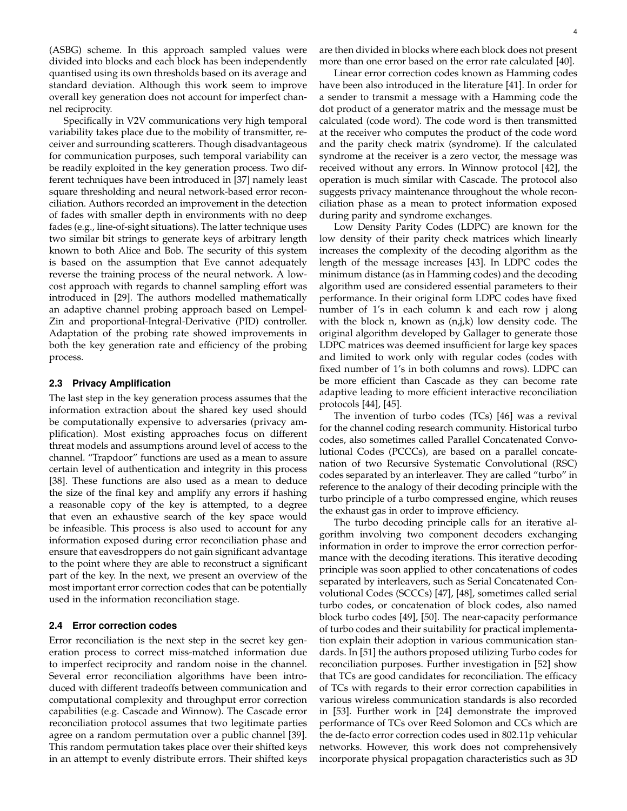(ASBG) scheme. In this approach sampled values were divided into blocks and each block has been independently quantised using its own thresholds based on its average and standard deviation. Although this work seem to improve overall key generation does not account for imperfect channel reciprocity.

Specifically in V2V communications very high temporal variability takes place due to the mobility of transmitter, receiver and surrounding scatterers. Though disadvantageous for communication purposes, such temporal variability can be readily exploited in the key generation process. Two different techniques have been introduced in [37] namely least square thresholding and neural network-based error reconciliation. Authors recorded an improvement in the detection of fades with smaller depth in environments with no deep fades (e.g., line-of-sight situations). The latter technique uses two similar bit strings to generate keys of arbitrary length known to both Alice and Bob. The security of this system is based on the assumption that Eve cannot adequately reverse the training process of the neural network. A lowcost approach with regards to channel sampling effort was introduced in [29]. The authors modelled mathematically an adaptive channel probing approach based on Lempel-Zin and proportional-Integral-Derivative (PID) controller. Adaptation of the probing rate showed improvements in both the key generation rate and efficiency of the probing process.

## **2.3 Privacy Amplification**

The last step in the key generation process assumes that the information extraction about the shared key used should be computationally expensive to adversaries (privacy amplification). Most existing approaches focus on different threat models and assumptions around level of access to the channel. "Trapdoor" functions are used as a mean to assure certain level of authentication and integrity in this process [38]. These functions are also used as a mean to deduce the size of the final key and amplify any errors if hashing a reasonable copy of the key is attempted, to a degree that even an exhaustive search of the key space would be infeasible. This process is also used to account for any information exposed during error reconciliation phase and ensure that eavesdroppers do not gain significant advantage to the point where they are able to reconstruct a significant part of the key. In the next, we present an overview of the most important error correction codes that can be potentially used in the information reconciliation stage.

#### **2.4 Error correction codes**

Error reconciliation is the next step in the secret key generation process to correct miss-matched information due to imperfect reciprocity and random noise in the channel. Several error reconciliation algorithms have been introduced with different tradeoffs between communication and computational complexity and throughput error correction capabilities (e.g. Cascade and Winnow). The Cascade error reconciliation protocol assumes that two legitimate parties agree on a random permutation over a public channel [39]. This random permutation takes place over their shifted keys in an attempt to evenly distribute errors. Their shifted keys

are then divided in blocks where each block does not present more than one error based on the error rate calculated [40].

Linear error correction codes known as Hamming codes have been also introduced in the literature [41]. In order for a sender to transmit a message with a Hamming code the dot product of a generator matrix and the message must be calculated (code word). The code word is then transmitted at the receiver who computes the product of the code word and the parity check matrix (syndrome). If the calculated syndrome at the receiver is a zero vector, the message was received without any errors. In Winnow protocol [42], the operation is much similar with Cascade. The protocol also suggests privacy maintenance throughout the whole reconciliation phase as a mean to protect information exposed during parity and syndrome exchanges.

Low Density Parity Codes (LDPC) are known for the low density of their parity check matrices which linearly increases the complexity of the decoding algorithm as the length of the message increases [43]. In LDPC codes the minimum distance (as in Hamming codes) and the decoding algorithm used are considered essential parameters to their performance. In their original form LDPC codes have fixed number of 1's in each column k and each row j along with the block n, known as (n,j,k) low density code. The original algorithm developed by Gallager to generate those LDPC matrices was deemed insufficient for large key spaces and limited to work only with regular codes (codes with fixed number of 1's in both columns and rows). LDPC can be more efficient than Cascade as they can become rate adaptive leading to more efficient interactive reconciliation protocols [44], [45].

The invention of turbo codes (TCs) [46] was a revival for the channel coding research community. Historical turbo codes, also sometimes called Parallel Concatenated Convolutional Codes (PCCCs), are based on a parallel concatenation of two Recursive Systematic Convolutional (RSC) codes separated by an interleaver. They are called "turbo" in reference to the analogy of their decoding principle with the turbo principle of a turbo compressed engine, which reuses the exhaust gas in order to improve efficiency.

The turbo decoding principle calls for an iterative algorithm involving two component decoders exchanging information in order to improve the error correction performance with the decoding iterations. This iterative decoding principle was soon applied to other concatenations of codes separated by interleavers, such as Serial Concatenated Convolutional Codes (SCCCs) [47], [48], sometimes called serial turbo codes, or concatenation of block codes, also named block turbo codes [49], [50]. The near-capacity performance of turbo codes and their suitability for practical implementation explain their adoption in various communication standards. In [51] the authors proposed utilizing Turbo codes for reconciliation purposes. Further investigation in [52] show that TCs are good candidates for reconciliation. The efficacy of TCs with regards to their error correction capabilities in various wireless communication standards is also recorded in [53]. Further work in [24] demonstrate the improved performance of TCs over Reed Solomon and CCs which are the de-facto error correction codes used in 802.11p vehicular networks. However, this work does not comprehensively incorporate physical propagation characteristics such as 3D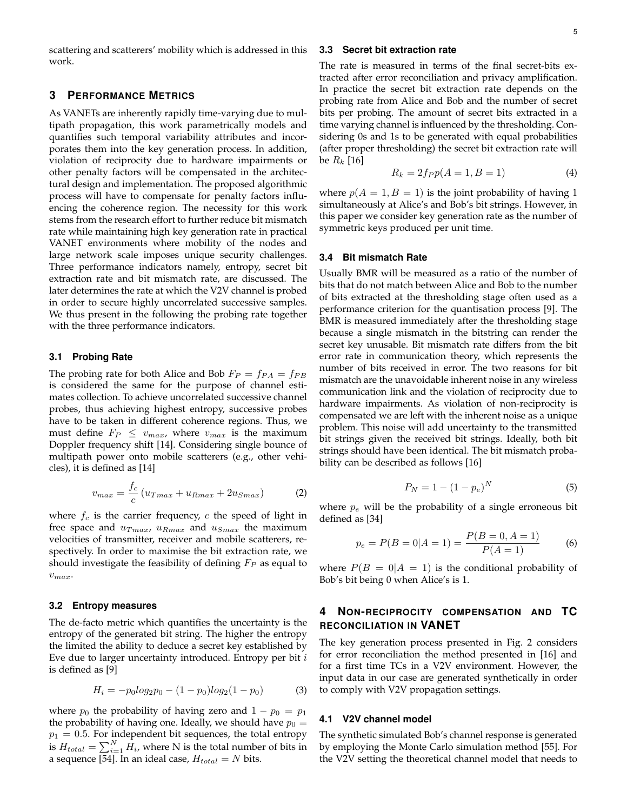scattering and scatterers' mobility which is addressed in this work.

# **3 PERFORMANCE METRICS**

As VANETs are inherently rapidly time-varying due to multipath propagation, this work parametrically models and quantifies such temporal variability attributes and incorporates them into the key generation process. In addition, violation of reciprocity due to hardware impairments or other penalty factors will be compensated in the architectural design and implementation. The proposed algorithmic process will have to compensate for penalty factors influencing the coherence region. The necessity for this work stems from the research effort to further reduce bit mismatch rate while maintaining high key generation rate in practical VANET environments where mobility of the nodes and large network scale imposes unique security challenges. Three performance indicators namely, entropy, secret bit extraction rate and bit mismatch rate, are discussed. The later determines the rate at which the V2V channel is probed in order to secure highly uncorrelated successive samples. We thus present in the following the probing rate together with the three performance indicators.

#### **3.1 Probing Rate**

The probing rate for both Alice and Bob  $F_P = f_{PA} = f_{PB}$ is considered the same for the purpose of channel estimates collection. To achieve uncorrelated successive channel probes, thus achieving highest entropy, successive probes have to be taken in different coherence regions. Thus, we must define  $F_P \le v_{max}$ , where  $v_{max}$  is the maximum Doppler frequency shift [14]. Considering single bounce of multipath power onto mobile scatterers (e.g., other vehicles), it is defined as [14]

$$
v_{max} = \frac{f_c}{c} \left( u_{Tmax} + u_{Rmax} + 2u_{Smax} \right) \tag{2}
$$

where  $f_c$  is the carrier frequency, c the speed of light in free space and  $u_{Tmax}$ ,  $u_{Rmax}$  and  $u_{Smax}$  the maximum velocities of transmitter, receiver and mobile scatterers, respectively. In order to maximise the bit extraction rate, we should investigate the feasibility of defining  $F_P$  as equal to  $v_{max}$ .

#### **3.2 Entropy measures**

The de-facto metric which quantifies the uncertainty is the entropy of the generated bit string. The higher the entropy the limited the ability to deduce a secret key established by Eve due to larger uncertainty introduced. Entropy per bit  $i$ is defined as [9]

$$
H_i = -p_0 \log_2 p_0 - (1 - p_0) \log_2 (1 - p_0) \tag{3}
$$

where  $p_0$  the probability of having zero and  $1 - p_0 = p_1$ the probability of having one. Ideally, we should have  $p_0 =$  $p_1 = 0.5$ . For independent bit sequences, the total entropy is  $H_{total} = \sum_{i=1}^{N} \hat{H_i}$ , where N is the total number of bits in a sequence [54]. In an ideal case,  $H_{total} = N$  bits.

# **3.3 Secret bit extraction rate**

The rate is measured in terms of the final secret-bits extracted after error reconciliation and privacy amplification. In practice the secret bit extraction rate depends on the probing rate from Alice and Bob and the number of secret bits per probing. The amount of secret bits extracted in a time varying channel is influenced by the thresholding. Considering 0s and 1s to be generated with equal probabilities (after proper thresholding) the secret bit extraction rate will be  $R_k$  [16]

$$
R_k = 2f_P p(A=1, B=1)
$$
\n<sup>(4)</sup>

where  $p(A = 1, B = 1)$  is the joint probability of having 1 simultaneously at Alice's and Bob's bit strings. However, in this paper we consider key generation rate as the number of symmetric keys produced per unit time.

# **3.4 Bit mismatch Rate**

Usually BMR will be measured as a ratio of the number of bits that do not match between Alice and Bob to the number of bits extracted at the thresholding stage often used as a performance criterion for the quantisation process [9]. The BMR is measured immediately after the thresholding stage because a single mismatch in the bitstring can render the secret key unusable. Bit mismatch rate differs from the bit error rate in communication theory, which represents the number of bits received in error. The two reasons for bit mismatch are the unavoidable inherent noise in any wireless communication link and the violation of reciprocity due to hardware impairments. As violation of non-reciprocity is compensated we are left with the inherent noise as a unique problem. This noise will add uncertainty to the transmitted bit strings given the received bit strings. Ideally, both bit strings should have been identical. The bit mismatch probability can be described as follows [16]

$$
P_N = 1 - (1 - p_e)^N
$$
 (5)

where  $p_e$  will be the probability of a single erroneous bit defined as [34]

$$
p_e = P(B = 0|A = 1) = \frac{P(B = 0, A = 1)}{P(A = 1)}
$$
 (6)

where  $P(B = 0|A = 1)$  is the conditional probability of Bob's bit being 0 when Alice's is 1.

# **4 NON-RECIPROCITY COMPENSATION AND TC RECONCILIATION IN VANET**

The key generation process presented in Fig. 2 considers for error reconciliation the method presented in [16] and for a first time TCs in a V2V environment. However, the input data in our case are generated synthetically in order to comply with V2V propagation settings.

#### **4.1 V2V channel model**

The synthetic simulated Bob's channel response is generated by employing the Monte Carlo simulation method [55]. For the V2V setting the theoretical channel model that needs to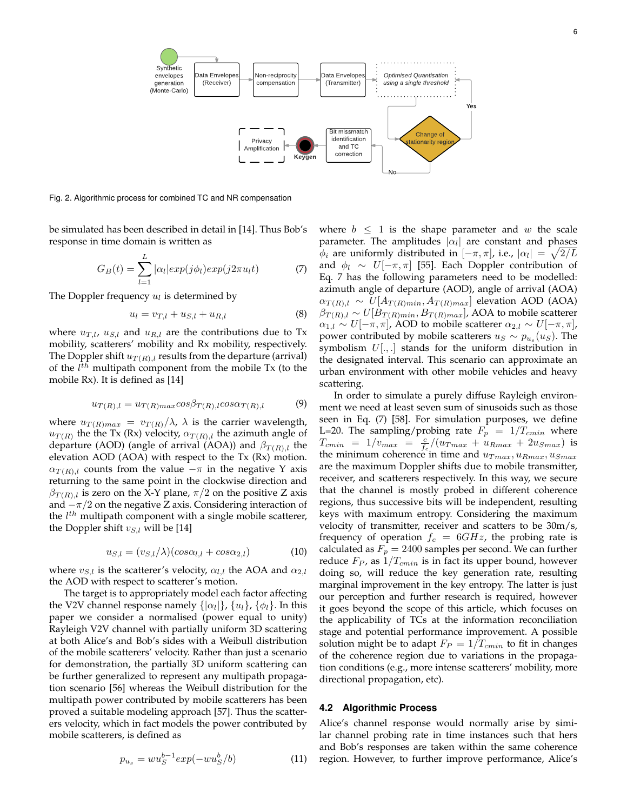

Fig. 2. Algorithmic process for combined TC and NR compensation

be simulated has been described in detail in [14]. Thus Bob's response in time domain is written as

$$
G_B(t) = \sum_{l=1}^{L} |\alpha_l| exp(j\phi_l) exp(j2\pi u_l t)
$$
 (7)

The Doppler frequency  $u_l$  is determined by

$$
u_l = v_{T,l} + u_{S,l} + u_{R,l} \tag{8}
$$

where  $u_{T,l}$ ,  $u_{S,l}$  and  $u_{R,l}$  are the contributions due to Tx mobility, scatterers' mobility and Rx mobility, respectively. The Doppler shift  $u_{T(R),l}$  results from the departure (arrival) of the  $l^{th}$  multipath component from the mobile Tx (to the mobile Rx). It is defined as [14]

$$
u_{T(R),l} = u_{T(R)max} \cos \beta_{T(R),l} \cos \alpha_{T(R),l} \tag{9}
$$

where  $u_{T(R)max} = v_{T(R)}/\lambda$ ,  $\lambda$  is the carrier wavelength,  $u_{T(R)}$  the the Tx (Rx) velocity,  $\alpha_{T(R),l}$  the azimuth angle of departure (AOD) (angle of arrival (AOA)) and  $\beta_{T(R),l}$  the elevation AOD (AOA) with respect to the Tx (Rx) motion.  $\alpha_{T(R),l}$  counts from the value  $-\pi$  in the negative Y axis returning to the same point in the clockwise direction and  $\beta_{T(R),l}$  is zero on the X-Y plane,  $\pi/2$  on the positive Z axis and  $-\pi/2$  on the negative Z axis. Considering interaction of the  $l^{th}$  multipath component with a single mobile scatterer, the Doppler shift  $v_{S,l}$  will be [14]

$$
u_{S,l} = (v_{S,l}/\lambda)(cos\alpha_{l,l} + cos\alpha_{2,l})
$$
\n(10)

where  $v_{S,l}$  is the scatterer's velocity,  $\alpha_{l,l}$  the AOA and  $\alpha_{2,l}$ the AOD with respect to scatterer's motion.

The target is to appropriately model each factor affecting the V2V channel response namely  $\{|\alpha_l|\}$ ,  $\{u_l\}$ ,  $\{\phi_l\}$ . In this paper we consider a normalised (power equal to unity) Rayleigh V2V channel with partially uniform 3D scattering at both Alice's and Bob's sides with a Weibull distribution of the mobile scatterers' velocity. Rather than just a scenario for demonstration, the partially 3D uniform scattering can be further generalized to represent any multipath propagation scenario [56] whereas the Weibull distribution for the multipath power contributed by mobile scatterers has been proved a suitable modeling approach [57]. Thus the scatterers velocity, which in fact models the power contributed by mobile scatterers, is defined as

$$
p_{u_s} = w u_S^{b-1} exp(-w u_S^b / b) \tag{11}
$$

where  $b \leq 1$  is the shape parameter and w the scale parameter. The amplitudes  $|\alpha_l|$  are constant and phases  $\phi_i$  are uniformly distributed in  $[-\pi,\pi]$ , i.e.,  $|\alpha_l| = \sqrt{2/L}$ and  $\phi_l \sim U[-\pi, \pi]$  [55]. Each Doppler contribution of Eq. 7 has the following parameters need to be modelled: azimuth angle of departure (AOD), angle of arrival (AOA)  $\alpha_{T(R),l} \sim U[A_{T(R)min}, A_{T(R)max}]$  elevation AOD (AOA)  $\beta_{T(R),l} \sim U[B_{T(R)min}, B_{T(R)max}]$ , AOA to mobile scatterer  $\alpha_{1,l} \sim U[-\pi,\pi]$ , AOD to mobile scatterer  $\alpha_{2,l} \sim U[-\pi,\pi]$ , power contributed by mobile scatterers  $u_S \sim p_{u_s}(u_S)$ . The symbolism  $U[.,.]$  stands for the uniform distribution in the designated interval. This scenario can approximate an urban environment with other mobile vehicles and heavy scattering.

In order to simulate a purely diffuse Rayleigh environment we need at least seven sum of sinusoids such as those seen in Eq. (7) [58]. For simulation purposes, we define L=20. The sampling/probing rate  $F_p = 1/T_{cmin}$  where  $T_{cmin}$  =  $1/v_{max}$  =  $\frac{c}{f_c}/(u_{Tmax} + u_{Rmax} + 2u_{Smax})$  is the minimum coherence in time and  $u_{Tmax}$ ,  $u_{Rmax}$ ,  $u_{Smax}$ are the maximum Doppler shifts due to mobile transmitter, receiver, and scatterers respectively. In this way, we secure that the channel is mostly probed in different coherence regions, thus successive bits will be independent, resulting keys with maximum entropy. Considering the maximum velocity of transmitter, receiver and scatters to be 30m/s, frequency of operation  $f_c = 6GHz$ , the probing rate is calculated as  $F_p = 2400$  samples per second. We can further reduce  $F_P$ , as  $1/T_{cmin}$  is in fact its upper bound, however doing so, will reduce the key generation rate, resulting marginal improvement in the key entropy. The latter is just our perception and further research is required, however it goes beyond the scope of this article, which focuses on the applicability of TCs at the information reconciliation stage and potential performance improvement. A possible solution might be to adapt  $F_P = 1/T_{cmin}$  to fit in changes of the coherence region due to variations in the propagation conditions (e.g., more intense scatterers' mobility, more directional propagation, etc).

## **4.2 Algorithmic Process**

Alice's channel response would normally arise by similar channel probing rate in time instances such that hers and Bob's responses are taken within the same coherence region. However, to further improve performance, Alice's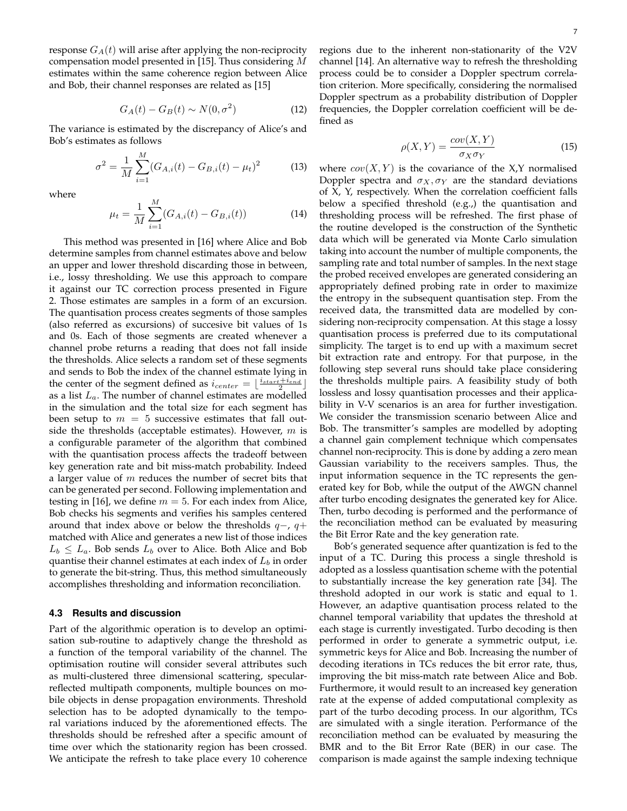response  $G_A(t)$  will arise after applying the non-reciprocity compensation model presented in [15]. Thus considering M estimates within the same coherence region between Alice and Bob, their channel responses are related as [15]

$$
G_A(t) - G_B(t) \sim N(0, \sigma^2)
$$
 (12)

The variance is estimated by the discrepancy of Alice's and Bob's estimates as follows

$$
\sigma^2 = \frac{1}{M} \sum_{i=1}^{M} (G_{A,i}(t) - G_{B,i}(t) - \mu_t)^2
$$
 (13)

where

$$
\mu_t = \frac{1}{M} \sum_{i=1}^{M} (G_{A,i}(t) - G_{B,i}(t))
$$
\n(14)

This method was presented in [16] where Alice and Bob determine samples from channel estimates above and below an upper and lower threshold discarding those in between, i.e., lossy thresholding. We use this approach to compare it against our TC correction process presented in Figure 2. Those estimates are samples in a form of an excursion. The quantisation process creates segments of those samples (also referred as excursions) of succesive bit values of 1s and 0s. Each of those segments are created whenever a channel probe returns a reading that does not fall inside the thresholds. Alice selects a random set of these segments and sends to Bob the index of the channel estimate lying in the center of the segment defined as  $i_{center} = \lfloor \frac{i_{start} + i_{end}}{2} \rfloor$ as a list  $L_a$ . The number of channel estimates are modelled in the simulation and the total size for each segment has been setup to  $m = 5$  successive estimates that fall outside the thresholds (acceptable estimates). However,  $m$  is a configurable parameter of the algorithm that combined with the quantisation process affects the tradeoff between key generation rate and bit miss-match probability. Indeed a larger value of  $m$  reduces the number of secret bits that can be generated per second. Following implementation and testing in [16], we define  $m = 5$ . For each index from Alice, Bob checks his segments and verifies his samples centered around that index above or below the thresholds  $q-$ ,  $q+$ matched with Alice and generates a new list of those indices  $L_b \leq L_a$ . Bob sends  $L_b$  over to Alice. Both Alice and Bob quantise their channel estimates at each index of  $L_b$  in order to generate the bit-string. Thus, this method simultaneously accomplishes thresholding and information reconciliation.

### **4.3 Results and discussion**

Part of the algorithmic operation is to develop an optimisation sub-routine to adaptively change the threshold as a function of the temporal variability of the channel. The optimisation routine will consider several attributes such as multi-clustered three dimensional scattering, specularreflected multipath components, multiple bounces on mobile objects in dense propagation environments. Threshold selection has to be adopted dynamically to the temporal variations induced by the aforementioned effects. The thresholds should be refreshed after a specific amount of time over which the stationarity region has been crossed. We anticipate the refresh to take place every 10 coherence

regions due to the inherent non-stationarity of the V2V channel [14]. An alternative way to refresh the thresholding process could be to consider a Doppler spectrum correlation criterion. More specifically, considering the normalised Doppler spectrum as a probability distribution of Doppler frequencies, the Doppler correlation coefficient will be defined as

$$
\rho(X,Y) = \frac{cov(X,Y)}{\sigma_X \sigma_Y} \tag{15}
$$

where  $cov(X, Y)$  is the covariance of the X,Y normalised Doppler spectra and  $\sigma_X, \sigma_Y$  are the standard deviations of X, Y, respectively. When the correlation coefficient falls below a specified threshold (e.g.,) the quantisation and thresholding process will be refreshed. The first phase of the routine developed is the construction of the Synthetic data which will be generated via Monte Carlo simulation taking into account the number of multiple components, the sampling rate and total number of samples. In the next stage the probed received envelopes are generated considering an appropriately defined probing rate in order to maximize the entropy in the subsequent quantisation step. From the received data, the transmitted data are modelled by considering non-reciprocity compensation. At this stage a lossy quantisation process is preferred due to its computational simplicity. The target is to end up with a maximum secret bit extraction rate and entropy. For that purpose, in the following step several runs should take place considering the thresholds multiple pairs. A feasibility study of both lossless and lossy quantisation processes and their applicability in V-V scenarios is an area for further investigation. We consider the transmission scenario between Alice and Bob. The transmitter's samples are modelled by adopting a channel gain complement technique which compensates channel non-reciprocity. This is done by adding a zero mean Gaussian variability to the receivers samples. Thus, the input information sequence in the TC represents the generated key for Bob, while the output of the AWGN channel after turbo encoding designates the generated key for Alice. Then, turbo decoding is performed and the performance of the reconciliation method can be evaluated by measuring the Bit Error Rate and the key generation rate.

Bob's generated sequence after quantization is fed to the input of a TC. During this process a single threshold is adopted as a lossless quantisation scheme with the potential to substantially increase the key generation rate [34]. The threshold adopted in our work is static and equal to 1. However, an adaptive quantisation process related to the channel temporal variability that updates the threshold at each stage is currently investigated. Turbo decoding is then performed in order to generate a symmetric output, i.e. symmetric keys for Alice and Bob. Increasing the number of decoding iterations in TCs reduces the bit error rate, thus, improving the bit miss-match rate between Alice and Bob. Furthermore, it would result to an increased key generation rate at the expense of added computational complexity as part of the turbo decoding process. In our algorithm, TCs are simulated with a single iteration. Performance of the reconciliation method can be evaluated by measuring the BMR and to the Bit Error Rate (BER) in our case. The comparison is made against the sample indexing technique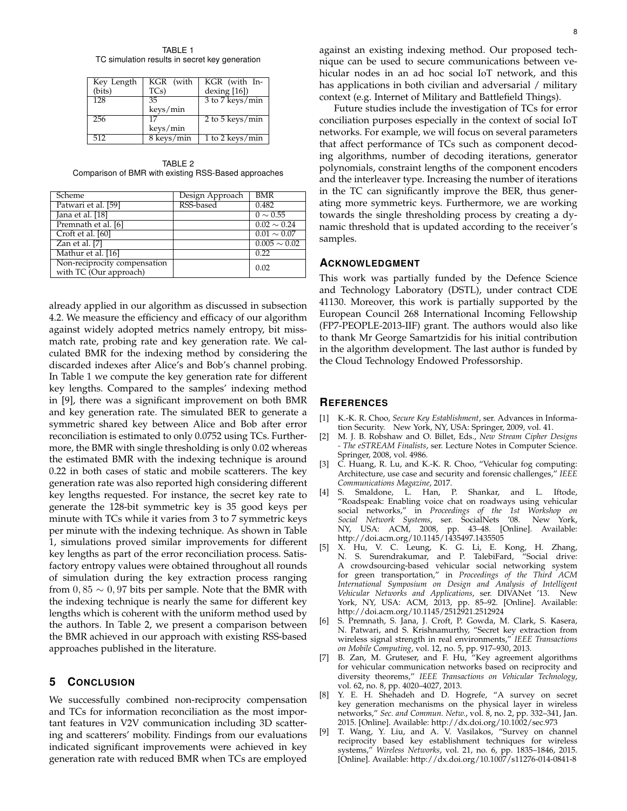TABLE 1 TC simulation results in secret key generation

| Key Length | KGR (with  | KGR (with $In-$     |
|------------|------------|---------------------|
| (bits)     | TCs)       | dexing [16])        |
| 128        | 35         | 3 to 7 keys/min     |
|            | keys/min   |                     |
| 256        | 17         | 2 to 5 keys/min     |
|            | keys/min   |                     |
| 512        | 8 keys/min | $1$ to $2$ keys/min |

TABLE 2 Comparison of BMR with existing RSS-Based approaches

| Scheme                       | Design Approach | <b>BMR</b>        |
|------------------------------|-----------------|-------------------|
| Patwari et al. [59]          | RSS-based       | 0.482             |
| Jana et al. [18]             |                 | $0 \sim 0.55$     |
| Premnath et al. [6]          |                 | $0.02 \sim 0.24$  |
| Croft et al. [60]            |                 | $0.01 \sim 0.07$  |
| Zan et al. [7]               |                 | $0.005 \sim 0.02$ |
| Mathur et al. [16]           |                 | 0.22              |
| Non-reciprocity compensation |                 | 0.02              |
| with TC (Our approach)       |                 |                   |

already applied in our algorithm as discussed in subsection 4.2. We measure the efficiency and efficacy of our algorithm against widely adopted metrics namely entropy, bit missmatch rate, probing rate and key generation rate. We calculated BMR for the indexing method by considering the discarded indexes after Alice's and Bob's channel probing. In Table 1 we compute the key generation rate for different key lengths. Compared to the samples' indexing method in [9], there was a significant improvement on both BMR and key generation rate. The simulated BER to generate a symmetric shared key between Alice and Bob after error reconciliation is estimated to only 0.0752 using TCs. Furthermore, the BMR with single thresholding is only 0.02 whereas the estimated BMR with the indexing technique is around 0.22 in both cases of static and mobile scatterers. The key generation rate was also reported high considering different key lengths requested. For instance, the secret key rate to generate the 128-bit symmetric key is 35 good keys per minute with TCs while it varies from 3 to 7 symmetric keys per minute with the indexing technique. As shown in Table 1, simulations proved similar improvements for different key lengths as part of the error reconciliation process. Satisfactory entropy values were obtained throughout all rounds of simulation during the key extraction process ranging from  $0, 85 \sim 0, 97$  bits per sample. Note that the BMR with the indexing technique is nearly the same for different key lengths which is coherent with the uniform method used by the authors. In Table 2, we present a comparison between the BMR achieved in our approach with existing RSS-based approaches published in the literature.

# **5 CONCLUSION**

We successfully combined non-reciprocity compensation and TCs for information reconciliation as the most important features in V2V communication including 3D scattering and scatterers' mobility. Findings from our evaluations indicated significant improvements were achieved in key generation rate with reduced BMR when TCs are employed

against an existing indexing method. Our proposed technique can be used to secure communications between vehicular nodes in an ad hoc social IoT network, and this has applications in both civilian and adversarial / military context (e.g. Internet of Military and Battlefield Things).

Future studies include the investigation of TCs for error conciliation purposes especially in the context of social IoT networks. For example, we will focus on several parameters that affect performance of TCs such as component decoding algorithms, number of decoding iterations, generator polynomials, constraint lengths of the component encoders and the interleaver type. Increasing the number of iterations in the TC can significantly improve the BER, thus generating more symmetric keys. Furthermore, we are working towards the single thresholding process by creating a dynamic threshold that is updated according to the receiver's samples.

## **ACKNOWLEDGMENT**

This work was partially funded by the Defence Science and Technology Laboratory (DSTL), under contract CDE 41130. Moreover, this work is partially supported by the European Council 268 International Incoming Fellowship (FP7-PEOPLE-2013-IIF) grant. The authors would also like to thank Mr George Samartzidis for his initial contribution in the algorithm development. The last author is funded by the Cloud Technology Endowed Professorship.

#### **REFERENCES**

- [1] K.-K. R. Choo, *Secure Key Establishment*, ser. Advances in Information Security. New York, NY, USA: Springer, 2009, vol. 41.
- [2] M. J. B. Robshaw and O. Billet, Eds., *New Stream Cipher Designs - The eSTREAM Finalists*, ser. Lecture Notes in Computer Science. Springer, 2008, vol. 4986.
- [3] C. Huang, R. Lu, and K.-K. R. Choo, "Vehicular fog computing: Architecture, use case and security and forensic challenges," *IEEE Communications Magazine*, 2017.
- [4] S. Smaldone, L. Han, P. Shankar, and L. Iftode, "Roadspeak: Enabling voice chat on roadways using vehicular social networks," in *Proceedings of the 1st Workshop on Social Network Systems*, ser. SocialNets '08. New York, NY, USA: ACM, 2008, pp. 43–48. [Online]. Available: http://doi.acm.org/10.1145/1435497.1435505
- [5] X. Hu, V. C. Leung, K. G. Li, E. Kong, H. Zhang, N. S. Surendrakumar, and P. TalebiFard, "Social drive: A crowdsourcing-based vehicular social networking system for green transportation," in *Proceedings of the Third ACM International Symposium on Design and Analysis of Intelligent Vehicular Networks and Applications*, ser. DIVANet '13. New York, NY, USA: ACM, 2013, pp. 85–92. [Online]. Available: http://doi.acm.org/10.1145/2512921.2512924
- [6] S. Premnath, S. Jana, J. Croft, P. Gowda, M. Clark, S. Kasera, N. Patwari, and S. Krishnamurthy, "Secret key extraction from wireless signal strength in real environments," *IEEE Transactions on Mobile Computing*, vol. 12, no. 5, pp. 917–930, 2013.
- [7] B. Zan, M. Gruteser, and F. Hu, "Key agreement algorithms for vehicular communication networks based on reciprocity and diversity theorems," *IEEE Transactions on Vehicular Technology*, vol. 62, no. 8, pp. 4020–4027, 2013.
- [8] Y. E. H. Shehadeh and D. Hogrefe, "A survey on secret key generation mechanisms on the physical layer in wireless networks," *Sec. and Commun. Netw.*, vol. 8, no. 2, pp. 332–341, Jan. 2015. [Online]. Available: http://dx.doi.org/10.1002/sec.973
- [9] T. Wang, Y. Liu, and A. V. Vasilakos, "Survey on channel reciprocity based key establishment techniques for wireless systems," *Wireless Networks*, vol. 21, no. 6, pp. 1835–1846, 2015. [Online]. Available: http://dx.doi.org/10.1007/s11276-014-0841-8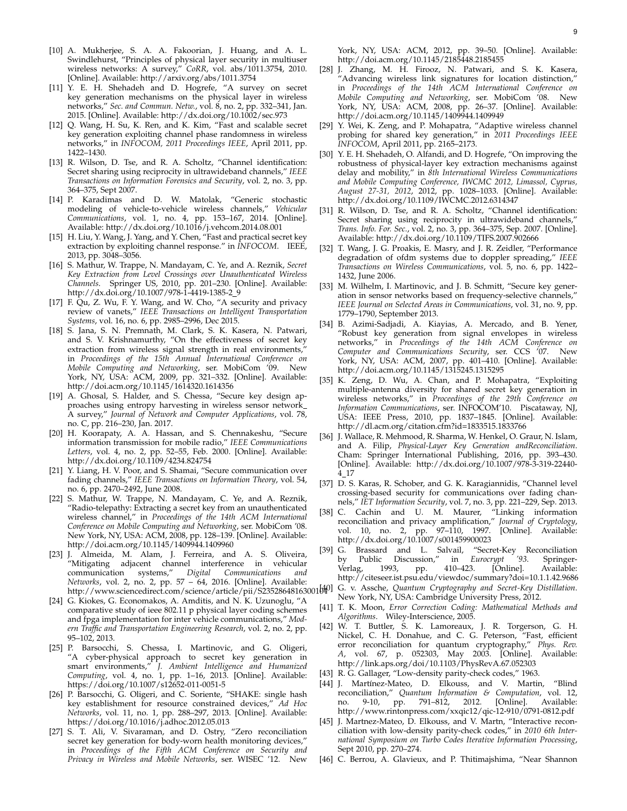- [10] A. Mukherjee, S. A. A. Fakoorian, J. Huang, and A. L. Swindlehurst, "Principles of physical layer security in multiuser wireless networks: A survey," *CoRR*, vol. abs/1011.3754, 2010. [Online]. Available: http://arxiv.org/abs/1011.3754
- [11] Y. E. H. Shehadeh and D. Hogrefe, "A survey on secret key generation mechanisms on the physical layer in wireless networks," *Sec. and Commun. Netw.*, vol. 8, no. 2, pp. 332–341, Jan. 2015. [Online]. Available: http://dx.doi.org/10.1002/sec.973
- [12] Q. Wang, H. Su, K. Ren, and K. Kim, "Fast and scalable secret key generation exploiting channel phase randomness in wireless networks," in *INFOCOM, 2011 Proceedings IEEE*, April 2011, pp. 1422–1430.
- [13] R. Wilson, D. Tse, and R. A. Scholtz, "Channel identification: Secret sharing using reciprocity in ultrawideband channels," *IEEE Transactions on Information Forensics and Security*, vol. 2, no. 3, pp. 364–375, Sept 2007.
- [14] P. Karadimas and D. W. Matolak, "Generic stochastic modeling of vehicle-to-vehicle wireless channels," *Vehicular Communications*, vol. 1, no. 4, pp. 153–167, 2014. [Online]. Available: http://dx.doi.org/10.1016/j.vehcom.2014.08.001
- [15] H. Liu, Y. Wang, J. Yang, and Y. Chen, "Fast and practical secret key extraction by exploiting channel response." in *INFOCOM*. IEEE, 2013, pp. 3048–3056.
- [16] S. Mathur, W. Trappe, N. Mandayam, C. Ye, and A. Reznik, *Secret Key Extraction from Level Crossings over Unauthenticated Wireless Channels*. Springer US, 2010, pp. 201–230. [Online]. Available: http://dx.doi.org/10.1007/978-1-4419-1385-2 9
- [17] F. Qu, Z. Wu, F. Y. Wang, and W. Cho, "A security and privacy review of vanets," *IEEE Transactions on Intelligent Transportation Systems*, vol. 16, no. 6, pp. 2985–2996, Dec 2015.
- [18] S. Jana, S. N. Premnath, M. Clark, S. K. Kasera, N. Patwari, and S. V. Krishnamurthy, "On the effectiveness of secret key extraction from wireless signal strength in real environments, in *Proceedings of the 15th Annual International Conference on Mobile Computing and Networking*, ser. MobiCom '09. New York, NY, USA: ACM, 2009, pp. 321-332. [Online]. Available: http://doi.acm.org/10.1145/1614320.1614356
- [19] A. Ghosal, S. Halder, and S. Chessa, "Secure key design approaches using entropy harvesting in wireless sensor network A survey," *Journal of Network and Computer Applications*, vol. 78, no. C, pp. 216–230, Jan. 2017.
- [20] H. Koorapaty, A. A. Hassan, and S. Chennakeshu, "Secure information transmission for mobile radio," *IEEE Communications Letters*, vol. 4, no. 2, pp. 52–55, Feb. 2000. [Online]. Available: http://dx.doi.org/10.1109/4234.824754
- [21] Y. Liang, H. V. Poor, and S. Shamai, "Secure communication over fading channels," *IEEE Transactions on Information Theory*, vol. 54, no. 6, pp. 2470–2492, June 2008.
- [22] S. Mathur, W. Trappe, N. Mandayam, C. Ye, and A. Reznik, "Radio-telepathy: Extracting a secret key from an unauthenticated wireless channel," in *Proceedings of the 14th ACM International Conference on Mobile Computing and Networking*, ser. MobiCom '08. New York, NY, USA: ACM, 2008, pp. 128–139. [Online]. Available: http://doi.acm.org/10.1145/1409944.1409960
- [23] J. Almeida, M. Alam, J. Ferreira, and A. S. Oliveira, "Mitigating adjacent channel interference in vehicular<br>communication systems," Digital Communications and communication systems," *Digital Communications and Networks*, vol. 2, no. 2, pp. 57 – 64, 2016. [Online]. Available: http://www.sciencedirect.com/science/article/pii/S23528648163001040]
- [24] G. Kiokes, G. Economakos, A. Amditis, and N. K. Uzunoglu, "A comparative study of ieee 802.11 p physical layer coding schemes and fpga implementation for inter vehicle communications," *Modern Traffic and Transportation Engineering Research*, vol. 2, no. 2, pp. 95–102, 2013.
- [25] P. Barsocchi, S. Chessa, I. Martinovic, and G. Oligeri, "A cyber-physical approach to secret key generation in smart environments," *J. Ambient Intelligence and Humanized Computing*, vol. 4, no. 1, pp. 1–16, 2013. [Online]. Available: https://doi.org/10.1007/s12652-011-0051-5
- [26] P. Barsocchi, G. Oligeri, and C. Soriente, "SHAKE: single hash key establishment for resource constrained devices," *Ad Hoc Networks*, vol. 11, no. 1, pp. 288–297, 2013. [Online]. Available: https://doi.org/10.1016/j.adhoc.2012.05.013
- [27] S. T. Ali, V. Sivaraman, and D. Ostry, "Zero reconciliation secret key generation for body-worn health monitoring devices, in *Proceedings of the Fifth ACM Conference on Security and Privacy in Wireless and Mobile Networks*, ser. WISEC '12. New

York, NY, USA: ACM, 2012, pp. 39–50. [Online]. Available: http://doi.acm.org/10.1145/2185448.2185455

- [28] J. Zhang, M. H. Firooz, N. Patwari, and S. K. Kasera, "Advancing wireless link signatures for location distinction," in *Proceedings of the 14th ACM International Conference on Mobile Computing and Networking*, ser. MobiCom '08. New York, NY, USA: ACM, 2008, pp. 26-37. [Online]. Available: http://doi.acm.org/10.1145/1409944.1409949
- [29] Y. Wei, K. Zeng, and P. Mohapatra, "Adaptive wireless channel probing for shared key generation," in *2011 Proceedings IEEE INFOCOM*, April 2011, pp. 2165–2173.
- [30] Y. E. H. Shehadeh, O. Alfandi, and D. Hogrefe, "On improving the robustness of physical-layer key extraction mechanisms against delay and mobility," in *8th International Wireless Communications and Mobile Computing Conference, IWCMC 2012, Limassol, Cyprus, August 27-31, 2012*, 2012, pp. 1028–1033. [Online]. Available: http://dx.doi.org/10.1109/IWCMC.2012.6314347
- [31] R. Wilson, D. Tse, and R. A. Scholtz, "Channel identification: Secret sharing using reciprocity in ultrawideband channels," *Trans. Info. For. Sec.*, vol. 2, no. 3, pp. 364–375, Sep. 2007. [Online]. Available: http://dx.doi.org/10.1109/TIFS.2007.902666
- [32] T. Wang, J. G. Proakis, E. Masry, and J. R. Zeidler, "Performance degradation of ofdm systems due to doppler spreading," *IEEE Transactions on Wireless Communications*, vol. 5, no. 6, pp. 1422– 1432, June 2006.
- [33] M. Wilhelm, I. Martinovic, and J. B. Schmitt, "Secure key generation in sensor networks based on frequency-selective channels," *IEEE Journal on Selected Areas in Communications*, vol. 31, no. 9, pp. 1779–1790, September 2013.
- [34] B. Azimi-Sadjadi, A. Kiayias, A. Mercado, and B. Yener, "Robust key generation from signal envelopes in wireless networks," in *Proceedings of the 14th ACM Conference on Computer and Communications Security*, ser. CCS '07. New York, NY, USA: ACM, 2007, pp. 401–410. [Online]. Available: http://doi.acm.org/10.1145/1315245.1315295
- [35] K. Zeng, D. Wu, A. Chan, and P. Mohapatra, "Exploiting multiple-antenna diversity for shared secret key generation in wireless networks," in *Proceedings of the 29th Conference on Information Communications*, ser. INFOCOM'10. Piscataway, NJ, USA: IEEE Press, 2010, pp. 1837–1845. [Online]. Available: http://dl.acm.org/citation.cfm?id=1833515.1833766
- [36] J. Wallace, R. Mehmood, R. Sharma, W. Henkel, O. Graur, N. Islam, and A. Filip, *Physical-Layer Key Generation andReconciliation*. Cham: Springer International Publishing, 2016, pp. 393–430. [Online]. Available: http://dx.doi.org/10.1007/978-3-319-22440- 4 17
- [37] D. S. Karas, R. Schober, and G. K. Karagiannidis, "Channel level crossing-based security for communications over fading channels," *IET Information Security*, vol. 7, no. 3, pp. 221–229, Sep. 2013.
- [38] C. Cachin and U. M. Maurer, "Linking information reconciliation and privacy amplification," *Journal of Cryptology*, vol. 10, no. 2, pp. 97-110, 1997. [Online]. Available: http://dx.doi.org/10.1007/s001459900023
- [39] G. Brassard and L. Salvail, "Secret-K<br>by Public Discussion," in Eurocrypt by Public Discussion," in *Eurocrypt '93*. Springerpp. 410–423. [Online]. Available: http://citeseer.ist.psu.edu/viewdoc/summary?doi=10.1.1.42.9686 [40] G. v. Assche, *Quantum Cryptography and Secret-Key Distillation*.
- New York, NY, USA: Cambridge University Press, 2012.
- [41] T. K. Moon, *Error Correction Coding: Mathematical Methods and Algorithms*. Wiley-Interscience, 2005.
- [42] W. T. Buttler, S. K. Lamoreaux, J. R. Torgerson, G. H. Nickel, C. H. Donahue, and C. G. Peterson, "Fast, efficient error reconciliation for quantum cryptography," *Phys. Rev. A*, vol. 67, p. 052303, May 2003. [Online]. Available: http://link.aps.org/doi/10.1103/PhysRevA.67.052303
- [43] R. G. Gallager, "Low-density parity-check codes," 1963.
- [44] J. Martínez-Mateo, D. Elkouss, and V. Martin, "Blind reconciliation," *Quantum Information & Computation*, vol. 12, no. 9-10, pp. 791–812, 2012. [Online]. Available: http://www.rintonpress.com/xxqic12/qic-12-910/0791-0812.pdf
- [45] J. Martnez-Mateo, D. Elkouss, and V. Martn, "Interactive reconciliation with low-density parity-check codes," in *2010 6th International Symposium on Turbo Codes Iterative Information Processing*, Sept 2010, pp. 270–274.
- [46] C. Berrou, A. Glavieux, and P. Thitimajshima, "Near Shannon